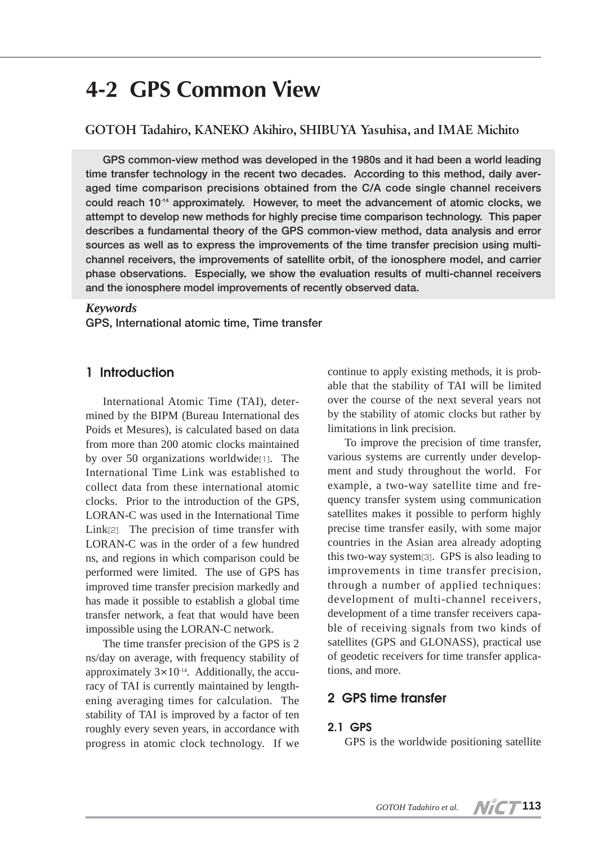# **4-2 GPS Common View**

## **GOTOH Tadahiro, KANEKO Akihiro, SHIBUYA Yasuhisa, and IMAE Michito**

**GPS common-view method was developed in the 1980s and it had been a world leading time transfer technology in the recent two decades. According to this method, daily averaged time comparison precisions obtained from the C/A code single channel receivers could reach 10-14 approximately. However, to meet the advancement of atomic clocks, we attempt to develop new methods for highly precise time comparison technology. This paper describes a fundamental theory of the GPS common-view method, data analysis and error sources as well as to express the improvements of the time transfer precision using multichannel receivers, the improvements of satellite orbit, of the ionosphere model, and carrier phase observations. Especially, we show the evaluation results of multi-channel receivers and the ionosphere model improvements of recently observed data.**

#### *Keywords*

**GPS, International atomic time, Time transfer**

## **1 Introduction**

International Atomic Time (TAI), determined by the BIPM (Bureau International des Poids et Mesures), is calculated based on data from more than 200 atomic clocks maintained by over 50 organizations worldwide[1]. The International Time Link was established to collect data from these international atomic clocks. Prior to the introduction of the GPS, LORAN-C was used in the International Time Link<sup>[2]</sup>. The precision of time transfer with LORAN-C was in the order of a few hundred ns, and regions in which comparison could be performed were limited. The use of GPS has improved time transfer precision markedly and has made it possible to establish a global time transfer network, a feat that would have been impossible using the LORAN-C network.

The time transfer precision of the GPS is 2 ns/day on average, with frequency stability of approximately  $3 \times 10^{-14}$ . Additionally, the accuracy of TAI is currently maintained by lengthening averaging times for calculation. The stability of TAI is improved by a factor of ten roughly every seven years, in accordance with progress in atomic clock technology. If we continue to apply existing methods, it is probable that the stability of TAI will be limited over the course of the next several years not by the stability of atomic clocks but rather by limitations in link precision.

To improve the precision of time transfer, various systems are currently under development and study throughout the world. For example, a two-way satellite time and frequency transfer system using communication satellites makes it possible to perform highly precise time transfer easily, with some major countries in the Asian area already adopting this two-way system[3]. GPS is also leading to improvements in time transfer precision, through a number of applied techniques: development of multi-channel receivers, development of a time transfer receivers capable of receiving signals from two kinds of satellites (GPS and GLONASS), practical use of geodetic receivers for time transfer applications, and more.

## **2 GPS time transfer**

#### **2.1 GPS**

GPS is the worldwide positioning satellite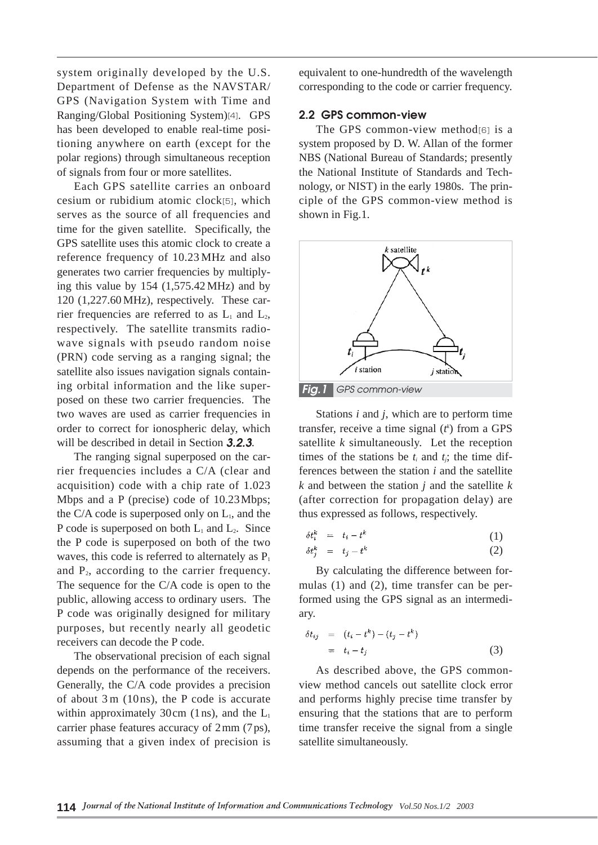system originally developed by the U.S. Department of Defense as the NAVSTAR/ GPS (Navigation System with Time and Ranging/Global Positioning System)[4]. GPS has been developed to enable real-time positioning anywhere on earth (except for the polar regions) through simultaneous reception of signals from four or more satellites.

Each GPS satellite carries an onboard cesium or rubidium atomic clock[5], which serves as the source of all frequencies and time for the given satellite. Specifically, the GPS satellite uses this atomic clock to create a reference frequency of 10.23 MHz and also generates two carrier frequencies by multiplying this value by 154 (1,575.42 MHz) and by 120 (1,227.60 MHz), respectively. These carrier frequencies are referred to as  $L_1$  and  $L_2$ , respectively. The satellite transmits radiowave signals with pseudo random noise (PRN) code serving as a ranging signal; the satellite also issues navigation signals containing orbital information and the like superposed on these two carrier frequencies. The two waves are used as carrier frequencies in order to correct for ionospheric delay, which will be described in detail in Section *3.2.3*.

The ranging signal superposed on the carrier frequencies includes a C/A (clear and acquisition) code with a chip rate of 1.023 Mbps and a P (precise) code of 10.23Mbps; the C/A code is superposed only on  $L<sub>1</sub>$ , and the P code is superposed on both  $L_1$  and  $L_2$ . Since the P code is superposed on both of the two waves, this code is referred to alternately as  $P_1$ and  $P_2$ , according to the carrier frequency. The sequence for the C/A code is open to the public, allowing access to ordinary users. The P code was originally designed for military purposes, but recently nearly all geodetic receivers can decode the P code.

The observational precision of each signal depends on the performance of the receivers. Generally, the C/A code provides a precision of about 3 m (10ns), the P code is accurate within approximately 30cm (1ns), and the  $L<sub>1</sub>$ carrier phase features accuracy of 2mm (7ps), assuming that a given index of precision is equivalent to one-hundredth of the wavelength corresponding to the code or carrier frequency.

#### **2.2 GPS common-view**

The GPS common-view method[6] is a system proposed by D. W. Allan of the former NBS (National Bureau of Standards; presently the National Institute of Standards and Technology, or NIST) in the early 1980s. The principle of the GPS common-view method is shown in Fig.1.



Stations *i* and *j*, which are to perform time transfer, receive a time signal  $(t^k)$  from a GPS satellite *k* simultaneously. Let the reception times of the stations be  $t_i$  and  $t_j$ ; the time differences between the station *i* and the satellite *k* and between the station *j* and the satellite *k* (after correction for propagation delay) are thus expressed as follows, respectively.

$$
\delta t_i^k = t_i - t^k \tag{1}
$$

$$
\delta t_j^k = t_j - t^k \tag{2}
$$

By calculating the difference between formulas (1) and (2), time transfer can be performed using the GPS signal as an intermediary.

$$
\delta t_{ij} = (t_i - t^k) - (t_j - t^k)
$$
  
=  $t_i - t_j$  (3)

As described above, the GPS commonview method cancels out satellite clock error and performs highly precise time transfer by ensuring that the stations that are to perform time transfer receive the signal from a single satellite simultaneously.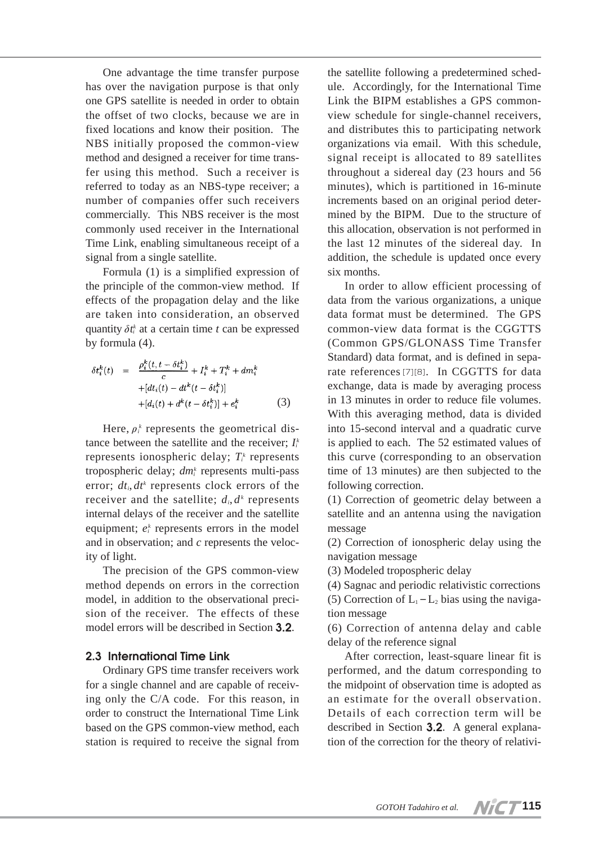One advantage the time transfer purpose has over the navigation purpose is that only one GPS satellite is needed in order to obtain the offset of two clocks, because we are in fixed locations and know their position. The NBS initially proposed the common-view method and designed a receiver for time transfer using this method. Such a receiver is referred to today as an NBS-type receiver; a number of companies offer such receivers commercially. This NBS receiver is the most commonly used receiver in the International Time Link, enabling simultaneous receipt of a signal from a single satellite.

Formula (1) is a simplified expression of the principle of the common-view method. If effects of the propagation delay and the like are taken into consideration, an observed quantity  $\delta t_i^k$  at a certain time *t* can be expressed by formula (4).

$$
\delta t_i^k(t) = \frac{\rho_i^k(t, t - \delta t_i^k)}{c} + I_i^k + T_i^k + dm_i^k + [dt_i(t) - dt^k(t - \delta t_i^k)] + [d_i(t) + d^k(t - \delta t_i^k)] + e_i^k
$$
(3)

Here,  $\rho_i^k$  represents the geometrical distance between the satellite and the receiver;  $I_i^k$ represents ionospheric delay;  $T_i^k$  represents tropospheric delay; *dmi <sup>k</sup>* represents multi-pass error;  $dt_i, dt^k$  represents clock errors of the receiver and the satellite;  $d_i$ ,  $d^k$  represents internal delays of the receiver and the satellite equipment;  $e_i^k$  represents errors in the model and in observation; and *c* represents the velocity of light.

The precision of the GPS common-view method depends on errors in the correction model, in addition to the observational precision of the receiver. The effects of these model errors will be described in Section **3.2**.

## **2.3 International Time Link**

Ordinary GPS time transfer receivers work for a single channel and are capable of receiving only the C/A code. For this reason, in order to construct the International Time Link based on the GPS common-view method, each station is required to receive the signal from

the satellite following a predetermined schedule. Accordingly, for the International Time Link the BIPM establishes a GPS commonview schedule for single-channel receivers, and distributes this to participating network organizations via email. With this schedule, signal receipt is allocated to 89 satellites throughout a sidereal day (23 hours and 56 minutes), which is partitioned in 16-minute increments based on an original period determined by the BIPM. Due to the structure of this allocation, observation is not performed in the last 12 minutes of the sidereal day. In addition, the schedule is updated once every six months.

In order to allow efficient processing of data from the various organizations, a unique data format must be determined. The GPS common-view data format is the CGGTTS (Common GPS/GLONASS Time Transfer Standard) data format, and is defined in separate references[7][8]. In CGGTTS for data exchange, data is made by averaging process in 13 minutes in order to reduce file volumes. With this averaging method, data is divided into 15-second interval and a quadratic curve is applied to each. The 52 estimated values of this curve (corresponding to an observation time of 13 minutes) are then subjected to the following correction.

(1) Correction of geometric delay between a satellite and an antenna using the navigation message

(2) Correction of ionospheric delay using the navigation message

(3) Modeled tropospheric delay

(4) Sagnac and periodic relativistic corrections (5) Correction of  $L_1 - L_2$  bias using the navigation message

(6) Correction of antenna delay and cable delay of the reference signal

After correction, least-square linear fit is performed, and the datum corresponding to the midpoint of observation time is adopted as an estimate for the overall observation. Details of each correction term will be described in Section **3.2**. A general explanation of the correction for the theory of relativi-

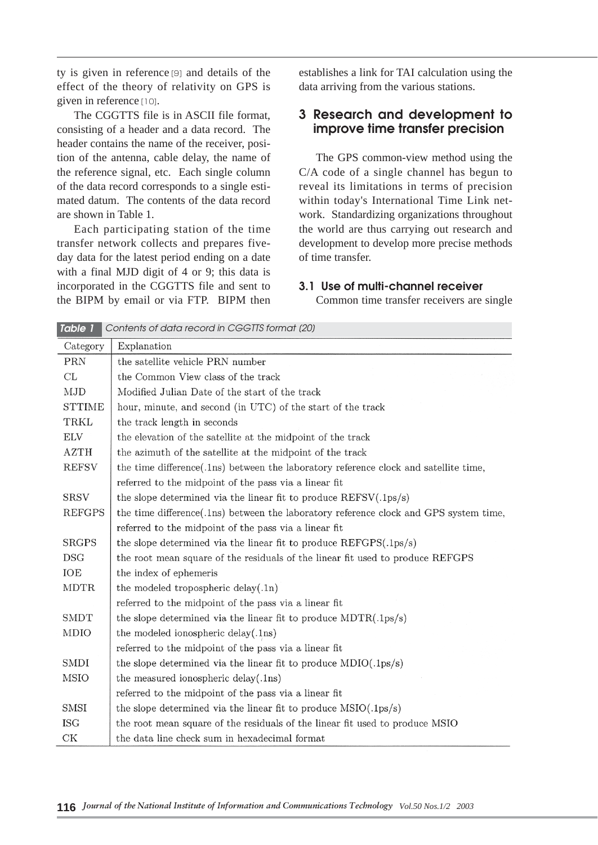ty is given in reference [9] and details of the effect of the theory of relativity on GPS is given in reference [10].

The CGGTTS file is in ASCII file format, consisting of a header and a data record. The header contains the name of the receiver, position of the antenna, cable delay, the name of the reference signal, etc. Each single column of the data record corresponds to a single estimated datum. The contents of the data record are shown in Table 1.

Each participating station of the time transfer network collects and prepares fiveday data for the latest period ending on a date with a final MJD digit of 4 or 9; this data is incorporated in the CGGTTS file and sent to the BIPM by email or via FTP. BIPM then establishes a link for TAI calculation using the data arriving from the various stations.

# **3 Research and development to improve time transfer precision**

The GPS common-view method using the C/A code of a single channel has begun to reveal its limitations in terms of precision within today's International Time Link network. Standardizing organizations throughout the world are thus carrying out research and development to develop more precise methods of time transfer.

#### **3.1 Use of multi-channel receiver**

Common time transfer receivers are single

| Table 1       | Contents of data record in CGGTTS format (20)                                         |
|---------------|---------------------------------------------------------------------------------------|
| Category      | Explanation                                                                           |
| PRN           | the satellite vehicle PRN number                                                      |
| CL            | the Common View class of the track                                                    |
| MJD           | Modified Julian Date of the start of the track                                        |
| <b>STTIME</b> | hour, minute, and second (in UTC) of the start of the track                           |
| TRKL          | the track length in seconds                                                           |
| ELV           | the elevation of the satellite at the midpoint of the track                           |
| <b>AZTH</b>   | the azimuth of the satellite at the midpoint of the track                             |
| <b>REFSV</b>  | the time difference (.1ns) between the laboratory reference clock and satellite time, |
|               | referred to the midpoint of the pass via a linear fit                                 |
| <b>SRSV</b>   | the slope determined via the linear fit to produce $REFSV(.1ps/s)$                    |
| <b>REFGPS</b> | the time difference(.1ns) between the laboratory reference clock and GPS system time, |
|               | referred to the midpoint of the pass via a linear fit                                 |
| <b>SRGPS</b>  | the slope determined via the linear fit to produce $REFGPS(.1ps/s)$                   |
| <b>DSG</b>    | the root mean square of the residuals of the linear fit used to produce REFGPS        |
| IOE           | the index of ephemeris                                                                |
| <b>MDTR</b>   | the modeled tropospheric delay $(.1n)$                                                |
|               | referred to the midpoint of the pass via a linear fit                                 |
| <b>SMDT</b>   | the slope determined via the linear fit to produce $MDTR(.1ps/s)$                     |
| MDIO          | the modeled ionospheric delay(.1ns)                                                   |
|               | referred to the midpoint of the pass via a linear fit                                 |
| SMDI          | the slope determined via the linear fit to produce $MDIO(.1ps/s)$                     |
| <b>MSIO</b>   | the measured ionospheric delay $(.1ns)$                                               |
|               | referred to the midpoint of the pass via a linear fit                                 |
| <b>SMSI</b>   | the slope determined via the linear fit to produce $MSIO(.1ps/s)$                     |
| <b>ISG</b>    | the root mean square of the residuals of the linear fit used to produce MSIO          |
| СK            | the data line check sum in hexadecimal format                                         |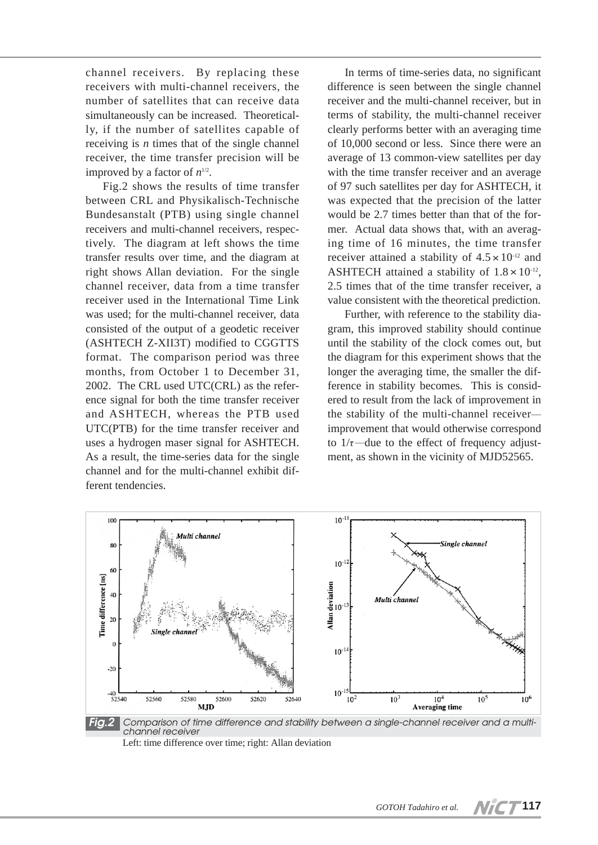channel receivers. By replacing these receivers with multi-channel receivers, the number of satellites that can receive data simultaneously can be increased. Theoretically, if the number of satellites capable of receiving is *n* times that of the single channel receiver, the time transfer precision will be improved by a factor of  $n^{1/2}$ .

Fig.2 shows the results of time transfer between CRL and Physikalisch-Technische Bundesanstalt (PTB) using single channel receivers and multi-channel receivers, respectively. The diagram at left shows the time transfer results over time, and the diagram at right shows Allan deviation. For the single channel receiver, data from a time transfer receiver used in the International Time Link was used; for the multi-channel receiver, data consisted of the output of a geodetic receiver (ASHTECH Z-XII3T) modified to CGGTTS format. The comparison period was three months, from October 1 to December 31, 2002. The CRL used UTC(CRL) as the reference signal for both the time transfer receiver and ASHTECH, whereas the PTB used UTC(PTB) for the time transfer receiver and uses a hydrogen maser signal for ASHTECH. As a result, the time-series data for the single channel and for the multi-channel exhibit different tendencies.

In terms of time-series data, no significant difference is seen between the single channel receiver and the multi-channel receiver, but in terms of stability, the multi-channel receiver clearly performs better with an averaging time of 10,000 second or less. Since there were an average of 13 common-view satellites per day with the time transfer receiver and an average of 97 such satellites per day for ASHTECH, it was expected that the precision of the latter would be 2.7 times better than that of the former. Actual data shows that, with an averaging time of 16 minutes, the time transfer receiver attained a stability of  $4.5 \times 10^{-12}$  and ASHTECH attained a stability of  $1.8 \times 10^{-12}$ , 2.5 times that of the time transfer receiver, a value consistent with the theoretical prediction.

Further, with reference to the stability diagram, this improved stability should continue until the stability of the clock comes out, but the diagram for this experiment shows that the longer the averaging time, the smaller the difference in stability becomes. This is considered to result from the lack of improvement in the stability of the multi-channel receiver― improvement that would otherwise correspond to  $1/\tau$ —due to the effect of frequency adjustment, as shown in the vicinity of MJD52565.



Left: time difference over time; right: Allan deviation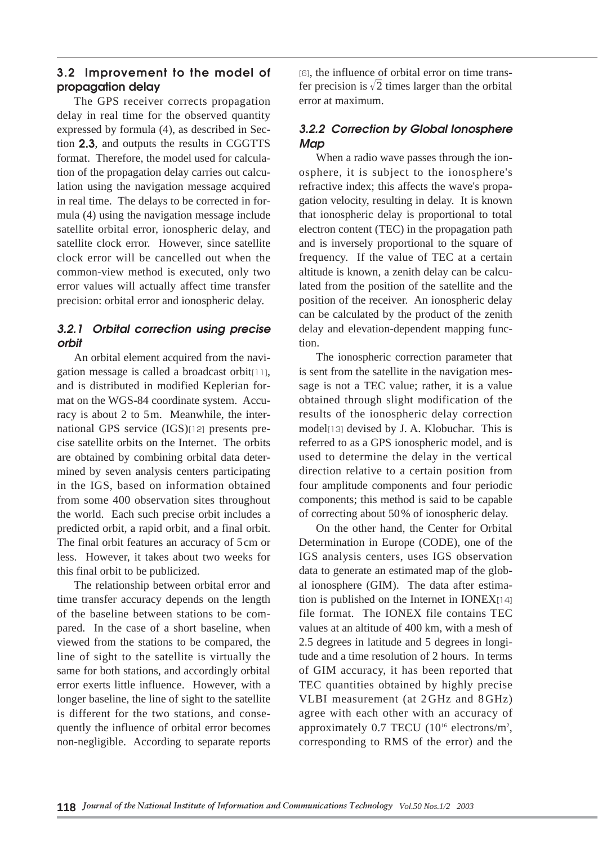# **3.2 Improvement to the model of propagation delay**

The GPS receiver corrects propagation delay in real time for the observed quantity expressed by formula (4), as described in Section **2.3**, and outputs the results in CGGTTS format. Therefore, the model used for calculation of the propagation delay carries out calculation using the navigation message acquired in real time. The delays to be corrected in formula (4) using the navigation message include satellite orbital error, ionospheric delay, and satellite clock error. However, since satellite clock error will be cancelled out when the common-view method is executed, only two error values will actually affect time transfer precision: orbital error and ionospheric delay.

# *3.2.1 Orbital correction using precise orbit*

An orbital element acquired from the navigation message is called a broadcast orbit[11], and is distributed in modified Keplerian format on the WGS-84 coordinate system. Accuracy is about 2 to 5m. Meanwhile, the international GPS service (IGS)[12] presents precise satellite orbits on the Internet. The orbits are obtained by combining orbital data determined by seven analysis centers participating in the IGS, based on information obtained from some 400 observation sites throughout the world. Each such precise orbit includes a predicted orbit, a rapid orbit, and a final orbit. The final orbit features an accuracy of 5cm or less. However, it takes about two weeks for this final orbit to be publicized.

The relationship between orbital error and time transfer accuracy depends on the length of the baseline between stations to be compared. In the case of a short baseline, when viewed from the stations to be compared, the line of sight to the satellite is virtually the same for both stations, and accordingly orbital error exerts little influence. However, with a longer baseline, the line of sight to the satellite is different for the two stations, and consequently the influence of orbital error becomes non-negligible. According to separate reports

[6], the influence of orbital error on time transfer precision is  $\sqrt{2}$  times larger than the orbital error at maximum.

# *3.2.2 Correction by Global Ionosphere Map*

When a radio wave passes through the ionosphere, it is subject to the ionosphere's refractive index; this affects the wave's propagation velocity, resulting in delay. It is known that ionospheric delay is proportional to total electron content (TEC) in the propagation path and is inversely proportional to the square of frequency. If the value of TEC at a certain altitude is known, a zenith delay can be calculated from the position of the satellite and the position of the receiver. An ionospheric delay can be calculated by the product of the zenith delay and elevation-dependent mapping function.

The ionospheric correction parameter that is sent from the satellite in the navigation message is not a TEC value; rather, it is a value obtained through slight modification of the results of the ionospheric delay correction model[13] devised by J. A. Klobuchar. This is referred to as a GPS ionospheric model, and is used to determine the delay in the vertical direction relative to a certain position from four amplitude components and four periodic components; this method is said to be capable of correcting about 50% of ionospheric delay.

On the other hand, the Center for Orbital Determination in Europe (CODE), one of the IGS analysis centers, uses IGS observation data to generate an estimated map of the global ionosphere (GIM). The data after estimation is published on the Internet in IONEX[14] file format. The IONEX file contains TEC values at an altitude of 400 km, with a mesh of 2.5 degrees in latitude and 5 degrees in longitude and a time resolution of 2 hours. In terms of GIM accuracy, it has been reported that TEC quantities obtained by highly precise VLBI measurement (at 2GHz and 8GHz) agree with each other with an accuracy of approximately  $0.7$  TECU ( $10^{16}$  electrons/m<sup>2</sup>, corresponding to RMS of the error) and the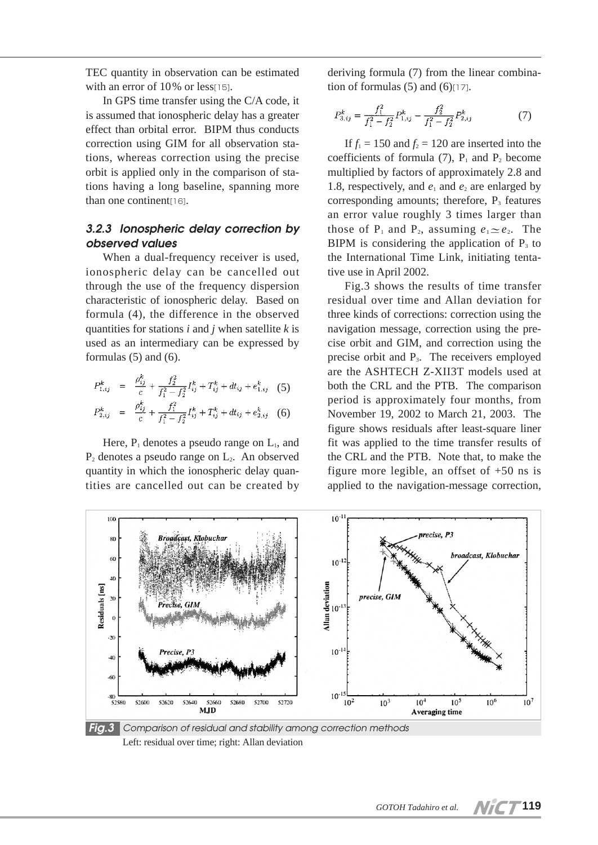TEC quantity in observation can be estimated with an error of 10% or less[15].

In GPS time transfer using the C/A code, it is assumed that ionospheric delay has a greater effect than orbital error. BIPM thus conducts correction using GIM for all observation stations, whereas correction using the precise orbit is applied only in the comparison of stations having a long baseline, spanning more than one continent<sup>[16]</sup>.

## *3.2.3 Ionospheric delay correction by observed values*

When a dual-frequency receiver is used, ionospheric delay can be cancelled out through the use of the frequency dispersion characteristic of ionospheric delay. Based on formula (4), the difference in the observed quantities for stations *i* and *j* when satellite *k* is used as an intermediary can be expressed by formulas  $(5)$  and  $(6)$ .

$$
P_{1,ij}^k = \frac{\rho_{ij}^k}{c} + \frac{f_2^2}{f_1^2 - f_2^2} I_{ij}^k + T_{ij}^k + dt_{ij} + e_{1,ij}^k \quad (5)
$$

$$
P_{2,ij}^k = \frac{\rho_{ij}^{\kappa}}{c} + \frac{f_1^2}{f_1^2 - f_2^2} I_{ij}^k + T_{ij}^k + dt_{ij} + e_{2,ij}^k \quad (6)
$$

Here,  $P_1$  denotes a pseudo range on  $L_1$ , and  $P_2$  denotes a pseudo range on  $L_2$ . An observed quantity in which the ionospheric delay quantities are cancelled out can be created by deriving formula (7) from the linear combination of formulas  $(5)$  and  $(6)$ [17].

$$
P_{3,ij}^k = \frac{f_1^2}{f_1^2 - f_2^2} P_{1,ij}^k - \frac{f_2^2}{f_1^2 - f_2^2} P_{2,ij}^k \tag{7}
$$

If  $f_1 = 150$  and  $f_2 = 120$  are inserted into the coefficients of formula  $(7)$ ,  $P_1$  and  $P_2$  become multiplied by factors of approximately 2.8 and 1.8, respectively, and  $e_1$  and  $e_2$  are enlarged by corresponding amounts; therefore,  $P_3$  features an error value roughly 3 times larger than those of P<sub>1</sub> and P<sub>2</sub>, assuming  $e_1 \simeq e_2$ . The BIPM is considering the application of  $P_3$  to the International Time Link, initiating tentative use in April 2002.

Fig.3 shows the results of time transfer residual over time and Allan deviation for three kinds of corrections: correction using the navigation message, correction using the precise orbit and GIM, and correction using the precise orbit and  $P_3$ . The receivers employed are the ASHTECH Z-XII3T models used at both the CRL and the PTB. The comparison period is approximately four months, from November 19, 2002 to March 21, 2003. The figure shows residuals after least-square liner fit was applied to the time transfer results of the CRL and the PTB. Note that, to make the figure more legible, an offset of  $+50$  ns is applied to the navigation-message correction,



Left: residual over time; right: Allan deviation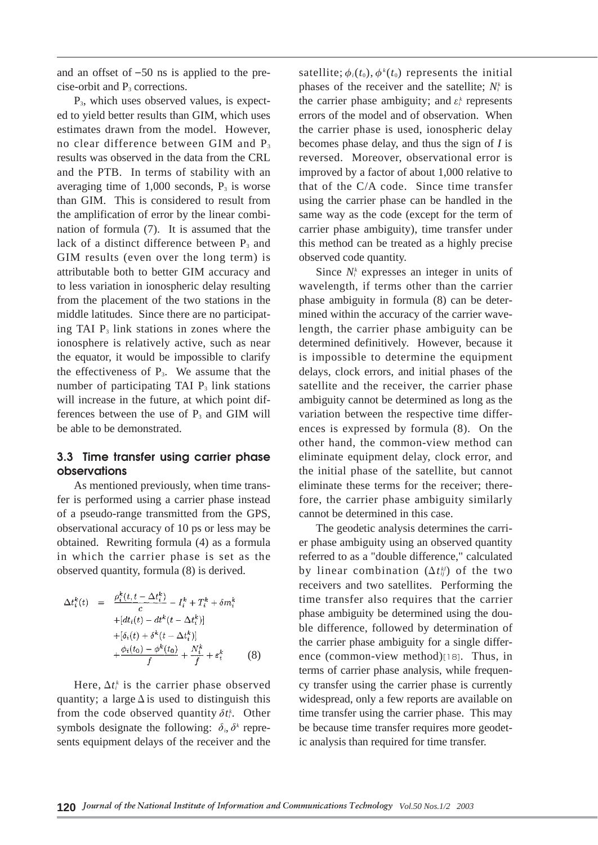and an offset of  $-50$  ns is applied to the precise-orbit and  $P_3$  corrections.

P3, which uses observed values, is expected to yield better results than GIM, which uses estimates drawn from the model. However, no clear difference between GIM and P<sub>3</sub> results was observed in the data from the CRL and the PTB. In terms of stability with an averaging time of  $1,000$  seconds,  $P_3$  is worse than GIM. This is considered to result from the amplification of error by the linear combination of formula (7). It is assumed that the lack of a distinct difference between  $P_3$  and GIM results (even over the long term) is attributable both to better GIM accuracy and to less variation in ionospheric delay resulting from the placement of the two stations in the middle latitudes. Since there are no participating TAI  $P_3$  link stations in zones where the ionosphere is relatively active, such as near the equator, it would be impossible to clarify the effectiveness of  $P_3$ . We assume that the number of participating TAI  $P_3$  link stations will increase in the future, at which point differences between the use of  $P_3$  and GIM will be able to be demonstrated.

## **3.3 Time transfer using carrier phase observations**

As mentioned previously, when time transfer is performed using a carrier phase instead of a pseudo-range transmitted from the GPS, observational accuracy of 10 ps or less may be obtained. Rewriting formula (4) as a formula in which the carrier phase is set as the observed quantity, formula (8) is derived.

$$
\Delta t_i^k(t) = \frac{\rho_i^k(t, t - \Delta t_i^k)}{c} - I_i^k + T_i^k + \delta m_i^k
$$
  
+ 
$$
[dt_i(t) - dt^k(t - \Delta t_i^k)]
$$
  
+ 
$$
[\delta_i(t) + \delta^k(t - \Delta t_i^k)]
$$
  
+ 
$$
\frac{\phi_i(t_0) - \phi^k(t_0)}{f} + \frac{N_i^k}{f} + \varepsilon_i^k
$$
 (8)

Here,  $\Delta t_i^k$  is the carrier phase observed quantity; a large  $\Delta$  is used to distinguish this from the code observed quantity  $\delta t_i^k$ . Other symbols designate the following:  $\delta_i$ ,  $\delta^k$  represents equipment delays of the receiver and the

satellite;  $\phi_i(t_0)$ ,  $\phi^k(t_0)$  represents the initial phases of the receiver and the satellite;  $N_i^k$  is the carrier phase ambiguity; and  $\varepsilon_i^k$  represents errors of the model and of observation. When the carrier phase is used, ionospheric delay becomes phase delay, and thus the sign of *I* is reversed. Moreover, observational error is improved by a factor of about 1,000 relative to that of the C/A code. Since time transfer using the carrier phase can be handled in the same way as the code (except for the term of carrier phase ambiguity), time transfer under this method can be treated as a highly precise observed code quantity.

Since  $N_i^k$  expresses an integer in units of wavelength, if terms other than the carrier phase ambiguity in formula (8) can be determined within the accuracy of the carrier wavelength, the carrier phase ambiguity can be determined definitively. However, because it is impossible to determine the equipment delays, clock errors, and initial phases of the satellite and the receiver, the carrier phase ambiguity cannot be determined as long as the variation between the respective time differences is expressed by formula (8). On the other hand, the common-view method can eliminate equipment delay, clock error, and the initial phase of the satellite, but cannot eliminate these terms for the receiver; therefore, the carrier phase ambiguity similarly cannot be determined in this case.

The geodetic analysis determines the carrier phase ambiguity using an observed quantity referred to as a "double difference," calculated by linear combination (Δ*tij kl*) of the two receivers and two satellites. Performing the time transfer also requires that the carrier phase ambiguity be determined using the double difference, followed by determination of the carrier phase ambiguity for a single difference (common-view method)[18]. Thus, in terms of carrier phase analysis, while frequency transfer using the carrier phase is currently widespread, only a few reports are available on time transfer using the carrier phase. This may be because time transfer requires more geodetic analysis than required for time transfer.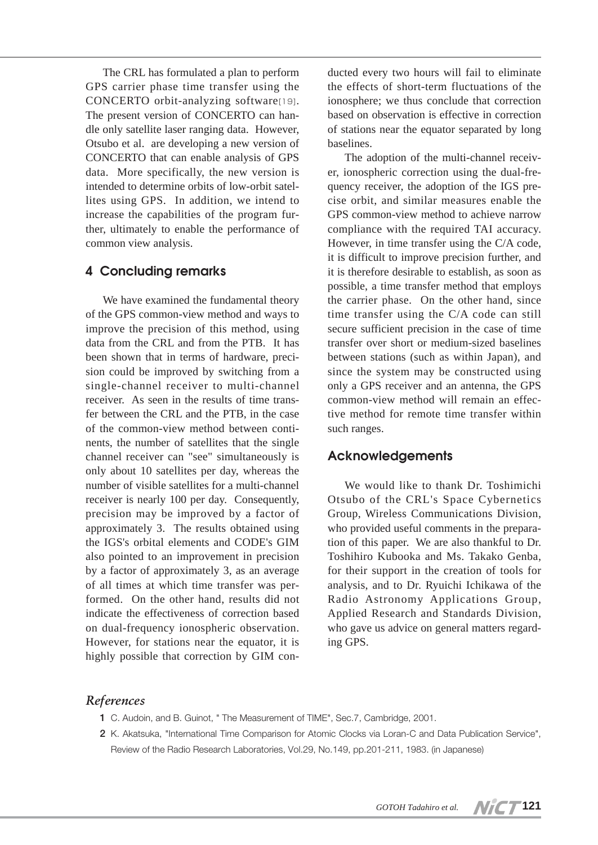The CRL has formulated a plan to perform GPS carrier phase time transfer using the CONCERTO orbit-analyzing software[19]. The present version of CONCERTO can handle only satellite laser ranging data. However, Otsubo et al. are developing a new version of CONCERTO that can enable analysis of GPS data. More specifically, the new version is intended to determine orbits of low-orbit satellites using GPS. In addition, we intend to increase the capabilities of the program further, ultimately to enable the performance of common view analysis.

# **4 Concluding remarks**

We have examined the fundamental theory of the GPS common-view method and ways to improve the precision of this method, using data from the CRL and from the PTB. It has been shown that in terms of hardware, precision could be improved by switching from a single-channel receiver to multi-channel receiver. As seen in the results of time transfer between the CRL and the PTB, in the case of the common-view method between continents, the number of satellites that the single channel receiver can "see" simultaneously is only about 10 satellites per day, whereas the number of visible satellites for a multi-channel receiver is nearly 100 per day. Consequently, precision may be improved by a factor of approximately 3. The results obtained using the IGS's orbital elements and CODE's GIM also pointed to an improvement in precision by a factor of approximately 3, as an average of all times at which time transfer was performed. On the other hand, results did not indicate the effectiveness of correction based on dual-frequency ionospheric observation. However, for stations near the equator, it is highly possible that correction by GIM con-

ducted every two hours will fail to eliminate the effects of short-term fluctuations of the ionosphere; we thus conclude that correction based on observation is effective in correction of stations near the equator separated by long baselines.

The adoption of the multi-channel receiver, ionospheric correction using the dual-frequency receiver, the adoption of the IGS precise orbit, and similar measures enable the GPS common-view method to achieve narrow compliance with the required TAI accuracy. However, in time transfer using the C/A code, it is difficult to improve precision further, and it is therefore desirable to establish, as soon as possible, a time transfer method that employs the carrier phase. On the other hand, since time transfer using the C/A code can still secure sufficient precision in the case of time transfer over short or medium-sized baselines between stations (such as within Japan), and since the system may be constructed using only a GPS receiver and an antenna, the GPS common-view method will remain an effective method for remote time transfer within such ranges.

## **Acknowledgements**

We would like to thank Dr. Toshimichi Otsubo of the CRL's Space Cybernetics Group, Wireless Communications Division, who provided useful comments in the preparation of this paper. We are also thankful to Dr. Toshihiro Kubooka and Ms. Takako Genba, for their support in the creation of tools for analysis, and to Dr. Ryuichi Ichikawa of the Radio Astronomy Applications Group, Applied Research and Standards Division, who gave us advice on general matters regarding GPS.

## *References*

- **1** C. Audoin, and B. Guinot, " The Measurement of TIME", Sec.7, Cambridge, 2001.
- **2** K. Akatsuka, "International Time Comparison for Atomic Clocks via Loran-C and Data Publication Service", Review of the Radio Research Laboratories, Vol.29, No.149, pp.201-211, 1983. (in Japanese)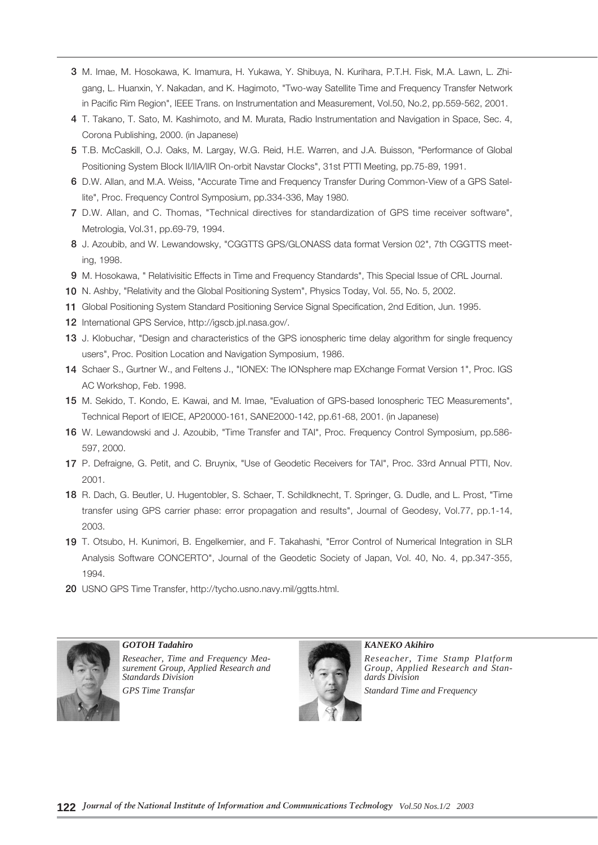- **3** M. Imae, M. Hosokawa, K. Imamura, H. Yukawa, Y. Shibuya, N. Kurihara, P.T.H. Fisk, M.A. Lawn, L. Zhigang, L. Huanxin, Y. Nakadan, and K. Hagimoto, "Two-way Satellite Time and Frequency Transfer Network in Pacific Rim Region", IEEE Trans. on Instrumentation and Measurement, Vol.50, No.2, pp.559-562, 2001.
- **4** T. Takano, T. Sato, M. Kashimoto, and M. Murata, Radio Instrumentation and Navigation in Space, Sec. 4, Corona Publishing, 2000. (in Japanese)
- **5** T.B. McCaskill, O.J. Oaks, M. Largay, W.G. Reid, H.E. Warren, and J.A. Buisson, "Performance of Global Positioning System Block II/IIA/IIR On-orbit Navstar Clocks", 31st PTTI Meeting, pp.75-89, 1991.
- **6** D.W. Allan, and M.A. Weiss, "Accurate Time and Frequency Transfer During Common-View of a GPS Satellite", Proc. Frequency Control Symposium, pp.334-336, May 1980.
- **7** D.W. Allan, and C. Thomas, "Technical directives for standardization of GPS time receiver software", Metrologia, Vol.31, pp.69-79, 1994.
- **8** J. Azoubib, and W. Lewandowsky, "CGGTTS GPS/GLONASS data format Version 02", 7th CGGTTS meeting, 1998.
- **9** M. Hosokawa, " Relativisitic Effects in Time and Frequency Standards", This Special Issue of CRL Journal.
- **10** N. Ashby, "Relativity and the Global Positioning System", Physics Today, Vol. 55, No. 5, 2002.
- **11** Global Positioning System Standard Positioning Service Signal Specification, 2nd Edition, Jun. 1995.
- **12** International GPS Service, http://igscb.jpl.nasa.gov/.
- **13** J. Klobuchar, "Design and characteristics of the GPS ionospheric time delay algorithm for single frequency users", Proc. Position Location and Navigation Symposium, 1986.
- **14** Schaer S., Gurtner W., and Feltens J., "IONEX: The IONsphere map EXchange Format Version 1", Proc. IGS AC Workshop, Feb. 1998.
- **15** M. Sekido, T. Kondo, E. Kawai, and M. Imae, "Evaluation of GPS-based Ionospheric TEC Measurements", Technical Report of IEICE, AP20000-161, SANE2000-142, pp.61-68, 2001. (in Japanese)
- **16** W. Lewandowski and J. Azoubib, "Time Transfer and TAI", Proc. Frequency Control Symposium, pp.586- 597, 2000.
- **17** P. Defraigne, G. Petit, and C. Bruynix, "Use of Geodetic Receivers for TAI", Proc. 33rd Annual PTTI, Nov. 2001.
- **18** R. Dach, G. Beutler, U. Hugentobler, S. Schaer, T. Schildknecht, T. Springer, G. Dudle, and L. Prost, "Time transfer using GPS carrier phase: error propagation and results", Journal of Geodesy, Vol.77, pp.1-14, 2003.
- **19** T. Otsubo, H. Kunimori, B. Engelkemier, and F. Takahashi, "Error Control of Numerical Integration in SLR Analysis Software CONCERTO", Journal of the Geodetic Society of Japan, Vol. 40, No. 4, pp.347-355, 1994.
- **20** USNO GPS Time Transfer, http://tycho.usno.navy.mil/ggtts.html.



*GOTOH Tadahiro Reseacher, Time and Frequency Measurement Group, Applied Research and Standards Division GPS Time Transfar*



*KANEKO Akihiro Reseacher, Time Stamp Platform Group, Applied Research and Standards Division Standard Time and Frequency*

**122** *Journal of the National Institute of Information and Communications Technology Vol.50 Nos.1/2 2003*